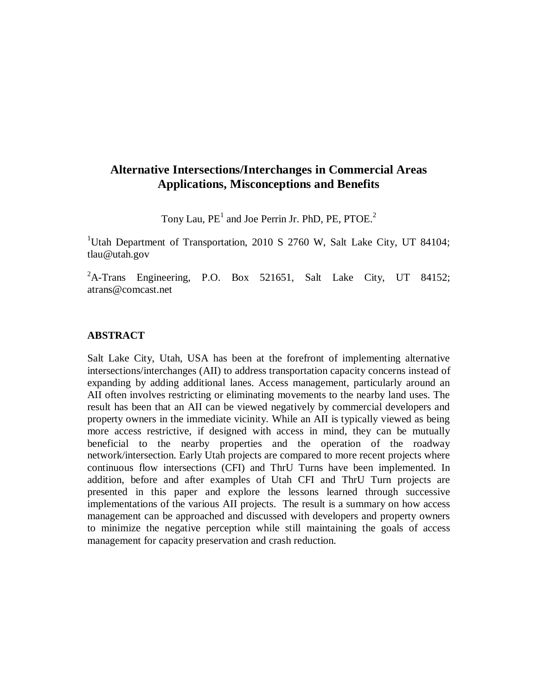## **Alternative Intersections/Interchanges in Commercial Areas Applications, Misconceptions and Benefits**

Tony Lau,  $PE<sup>1</sup>$  and Joe Perrin Jr. PhD, PE, PTOE.<sup>2</sup>

<sup>1</sup>Utah Department of Transportation, 2010 S 2760 W, Salt Lake City, UT 84104; tlau@utah.gov

 ${}^{2}$ A-Trans Engineering, P.O. Box 521651, Salt Lake City, UT 84152; atrans@comcast.net

## **ABSTRACT**

Salt Lake City, Utah, USA has been at the forefront of implementing alternative intersections/interchanges (AII) to address transportation capacity concerns instead of expanding by adding additional lanes. Access management, particularly around an AII often involves restricting or eliminating movements to the nearby land uses. The result has been that an AII can be viewed negatively by commercial developers and property owners in the immediate vicinity. While an AII is typically viewed as being more access restrictive, if designed with access in mind, they can be mutually beneficial to the nearby properties and the operation of the roadway network/intersection. Early Utah projects are compared to more recent projects where continuous flow intersections (CFI) and ThrU Turns have been implemented. In addition, before and after examples of Utah CFI and ThrU Turn projects are presented in this paper and explore the lessons learned through successive implementations of the various AII projects. The result is a summary on how access management can be approached and discussed with developers and property owners to minimize the negative perception while still maintaining the goals of access management for capacity preservation and crash reduction.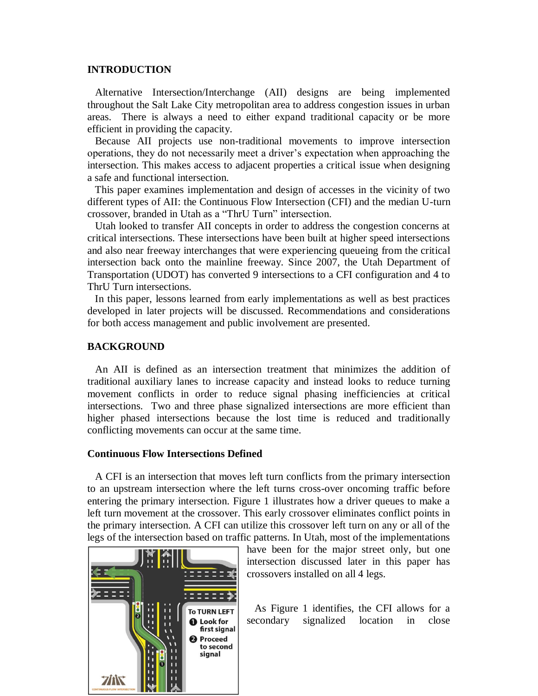#### **INTRODUCTION**

 Alternative Intersection/Interchange (AII) designs are being implemented throughout the Salt Lake City metropolitan area to address congestion issues in urban areas. There is always a need to either expand traditional capacity or be more efficient in providing the capacity.

 Because AII projects use non-traditional movements to improve intersection operations, they do not necessarily meet a driver's expectation when approaching the intersection. This makes access to adjacent properties a critical issue when designing a safe and functional intersection.

 This paper examines implementation and design of accesses in the vicinity of two different types of AII: the Continuous Flow Intersection (CFI) and the median U-turn crossover, branded in Utah as a "ThrU Turn" intersection.

 Utah looked to transfer AII concepts in order to address the congestion concerns at critical intersections. These intersections have been built at higher speed intersections and also near freeway interchanges that were experiencing queueing from the critical intersection back onto the mainline freeway. Since 2007, the Utah Department of Transportation (UDOT) has converted 9 intersections to a CFI configuration and 4 to ThrU Turn intersections.

 In this paper, lessons learned from early implementations as well as best practices developed in later projects will be discussed. Recommendations and considerations for both access management and public involvement are presented.

#### **BACKGROUND**

 An AII is defined as an intersection treatment that minimizes the addition of traditional auxiliary lanes to increase capacity and instead looks to reduce turning movement conflicts in order to reduce signal phasing inefficiencies at critical intersections. Two and three phase signalized intersections are more efficient than higher phased intersections because the lost time is reduced and traditionally conflicting movements can occur at the same time.

#### **Continuous Flow Intersections Defined**

 A CFI is an intersection that moves left turn conflicts from the primary intersection to an upstream intersection where the left turns cross-over oncoming traffic before entering the primary intersection. Figure 1 illustrates how a driver queues to make a left turn movement at the crossover. This early crossover eliminates conflict points in the primary intersection. A CFI can utilize this crossover left turn on any or all of the legs of the intersection based on traffic patterns. In Utah, most of the implementations



have been for the major street only, but one intersection discussed later in this paper has crossovers installed on all 4 legs.

 As Figure 1 identifies, the CFI allows for a secondary signalized location in close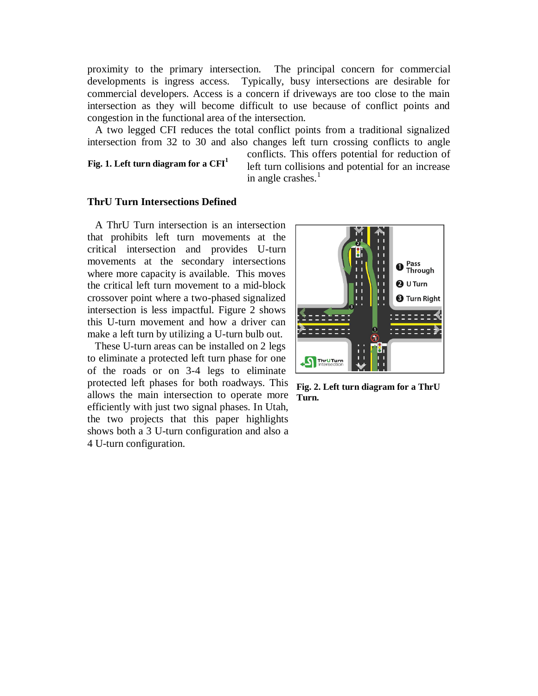proximity to the primary intersection. The principal concern for commercial developments is ingress access. Typically, busy intersections are desirable for commercial developers. Access is a concern if driveways are too close to the main intersection as they will become difficult to use because of conflict points and congestion in the functional area of the intersection.

 A two legged CFI reduces the total conflict points from a traditional signalized intersection from 32 to 30 and also changes left turn crossing conflicts to angle

**Fig. 1. Left turn diagram for a CFI<sup>1</sup>**

conflicts. This offers potential for reduction of left turn collisions and potential for an increase in angle crashes. $<sup>1</sup>$ </sup>

#### **ThrU Turn Intersections Defined**

 A ThrU Turn intersection is an intersection that prohibits left turn movements at the critical intersection and provides U-turn movements at the secondary intersections where more capacity is available. This moves the critical left turn movement to a mid-block crossover point where a two-phased signalized intersection is less impactful. Figure 2 shows this U-turn movement and how a driver can make a left turn by utilizing a U-turn bulb out.

 These U-turn areas can be installed on 2 legs to eliminate a protected left turn phase for one of the roads or on 3-4 legs to eliminate protected left phases for both roadways. This allows the main intersection to operate more efficiently with just two signal phases. In Utah, the two projects that this paper highlights shows both a 3 U-turn configuration and also a 4 U-turn configuration.



**Fig. 2. Left turn diagram for a ThrU Turn.**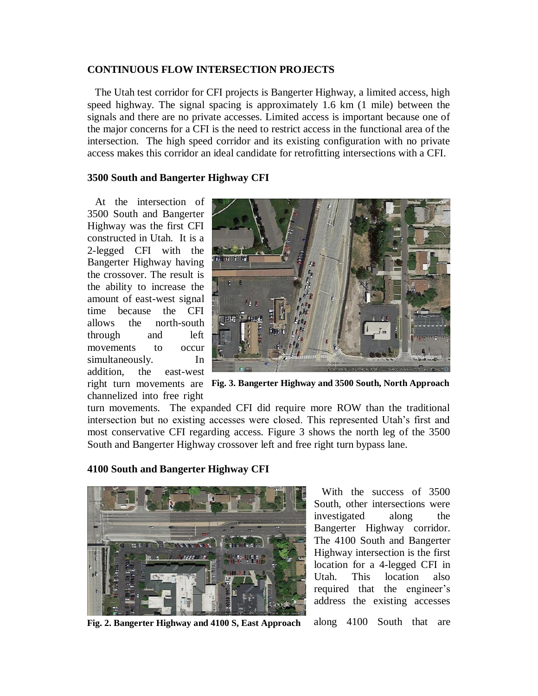### **CONTINUOUS FLOW INTERSECTION PROJECTS**

 The Utah test corridor for CFI projects is Bangerter Highway, a limited access, high speed highway. The signal spacing is approximately 1.6 km (1 mile) between the signals and there are no private accesses. Limited access is important because one of the major concerns for a CFI is the need to restrict access in the functional area of the intersection. The high speed corridor and its existing configuration with no private access makes this corridor an ideal candidate for retrofitting intersections with a CFI.

## **3500 South and Bangerter Highway CFI**

 At the intersection of 3500 South and Bangerter Highway was the first CFI constructed in Utah. It is a 2-legged CFI with the Bangerter Highway having the crossover. The result is the ability to increase the amount of east-west signal time because the CFI allows the north-south through and left movements to occur simultaneously. In addition, the east-west channelized into free right



**Fig. 3. Bangerter Highway and 3500 South, North Approach** right turn movements are

turn movements. The expanded CFI did require more ROW than the traditional intersection but no existing accesses were closed. This represented Utah's first and most conservative CFI regarding access. Figure 3 shows the north leg of the 3500 South and Bangerter Highway crossover left and free right turn bypass lane.

## **4100 South and Bangerter Highway CFI**



 With the success of 3500 South, other intersections were investigated along the Bangerter Highway corridor. The 4100 South and Bangerter Highway intersection is the first location for a 4-legged CFI in Utah. This location also required that the engineer's address the existing accesses

**Fig. 2. Bangerter Highway and 4100 S, East Approach** along 4100 South that are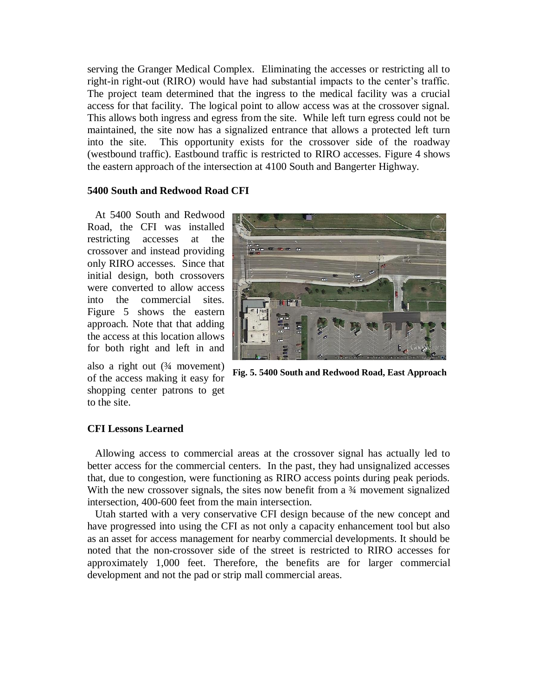serving the Granger Medical Complex. Eliminating the accesses or restricting all to right-in right-out (RIRO) would have had substantial impacts to the center's traffic. The project team determined that the ingress to the medical facility was a crucial access for that facility. The logical point to allow access was at the crossover signal. This allows both ingress and egress from the site. While left turn egress could not be maintained, the site now has a signalized entrance that allows a protected left turn into the site. This opportunity exists for the crossover side of the roadway (westbound traffic). Eastbound traffic is restricted to RIRO accesses. Figure 4 shows the eastern approach of the intersection at 4100 South and Bangerter Highway.

## **5400 South and Redwood Road CFI**

 At 5400 South and Redwood Road, the CFI was installed restricting accesses at the crossover and instead providing only RIRO accesses. Since that initial design, both crossovers were converted to allow access into the commercial sites. Figure 5 shows the eastern approach. Note that that adding the access at this location allows for both right and left in and

also a right out  $(3/4$  movement) of the access making it easy for shopping center patrons to get to the site.



**Fig. 5. 5400 South and Redwood Road, East Approach**

## **CFI Lessons Learned**

 Allowing access to commercial areas at the crossover signal has actually led to better access for the commercial centers. In the past, they had unsignalized accesses that, due to congestion, were functioning as RIRO access points during peak periods. With the new crossover signals, the sites now benefit from a  $\frac{3}{4}$  movement signalized intersection, 400-600 feet from the main intersection.

 Utah started with a very conservative CFI design because of the new concept and have progressed into using the CFI as not only a capacity enhancement tool but also as an asset for access management for nearby commercial developments. It should be noted that the non-crossover side of the street is restricted to RIRO accesses for approximately 1,000 feet. Therefore, the benefits are for larger commercial development and not the pad or strip mall commercial areas.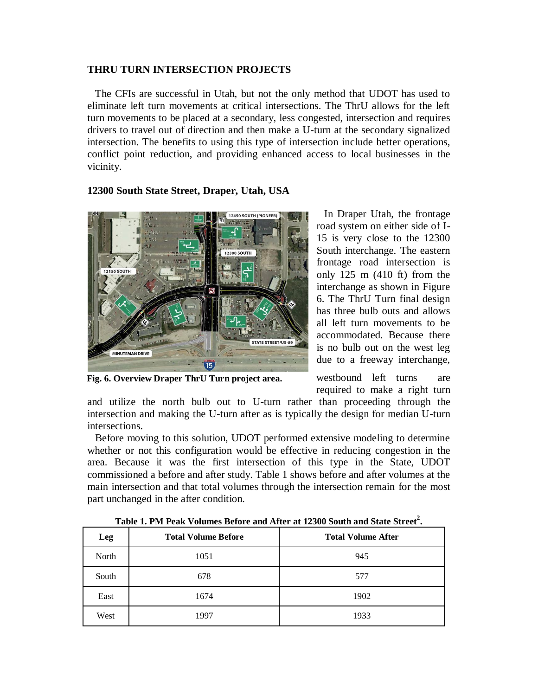### **THRU TURN INTERSECTION PROJECTS**

 The CFIs are successful in Utah, but not the only method that UDOT has used to eliminate left turn movements at critical intersections. The ThrU allows for the left turn movements to be placed at a secondary, less congested, intersection and requires drivers to travel out of direction and then make a U-turn at the secondary signalized intersection. The benefits to using this type of intersection include better operations, conflict point reduction, and providing enhanced access to local businesses in the vicinity.

# 2450 SOUTH (PIONEER **STATE STREET/US-89 MINUTEMAN DRIVE**  $\overline{15}$

## **12300 South State Street, Draper, Utah, USA**

**Fig. 6. Overview Draper ThrU Turn project area.**

 In Draper Utah, the frontage road system on either side of I-15 is very close to the 12300 South interchange. The eastern frontage road intersection is only 125 m (410 ft) from the interchange as shown in Figure 6. The ThrU Turn final design has three bulb outs and allows all left turn movements to be accommodated. Because there is no bulb out on the west leg due to a freeway interchange,

westbound left turns are required to make a right turn

and utilize the north bulb out to U-turn rather than proceeding through the intersection and making the U-turn after as is typically the design for median U-turn intersections.

 Before moving to this solution, UDOT performed extensive modeling to determine whether or not this configuration would be effective in reducing congestion in the area. Because it was the first intersection of this type in the State, UDOT commissioned a before and after study. Table 1 shows before and after volumes at the main intersection and that total volumes through the intersection remain for the most part unchanged in the after condition.

| Leg   | <b>Total Volume Before</b><br><b>Total Volume After</b> |      |
|-------|---------------------------------------------------------|------|
| North | 1051                                                    | 945  |
| South | 678                                                     | 577  |
| East  | 1674                                                    | 1902 |
| West  | 1997                                                    | 1933 |

**Table 1. PM Peak Volumes Before and After at 12300 South and State Street<sup>2</sup> .**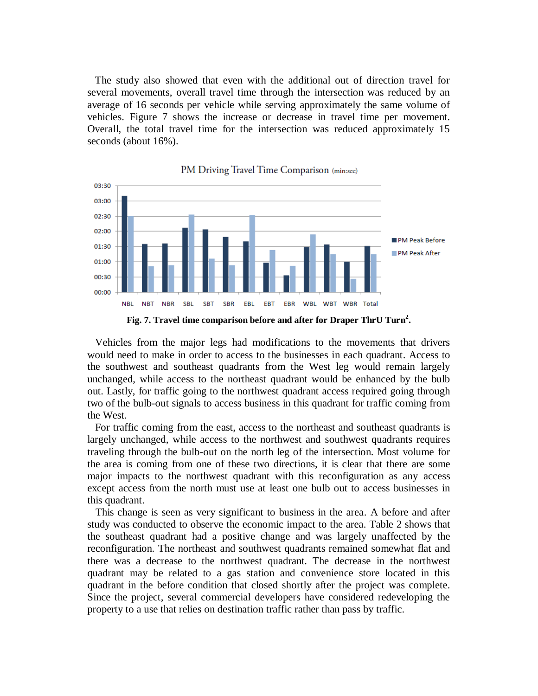The study also showed that even with the additional out of direction travel for several movements, overall travel time through the intersection was reduced by an average of 16 seconds per vehicle while serving approximately the same volume of vehicles. Figure 7 shows the increase or decrease in travel time per movement. Overall, the total travel time for the intersection was reduced approximately 15 seconds (about 16%).



PM Driving Travel Time Comparison (min:sec)

 Vehicles from the major legs had modifications to the movements that drivers would need to make in order to access to the businesses in each quadrant. Access to the southwest and southeast quadrants from the West leg would remain largely unchanged, while access to the northeast quadrant would be enhanced by the bulb out. Lastly, for traffic going to the northwest quadrant access required going through two of the bulb-out signals to access business in this quadrant for traffic coming from the West.

 For traffic coming from the east, access to the northeast and southeast quadrants is largely unchanged, while access to the northwest and southwest quadrants requires traveling through the bulb-out on the north leg of the intersection. Most volume for the area is coming from one of these two directions, it is clear that there are some major impacts to the northwest quadrant with this reconfiguration as any access except access from the north must use at least one bulb out to access businesses in this quadrant.

 This change is seen as very significant to business in the area. A before and after study was conducted to observe the economic impact to the area. Table 2 shows that the southeast quadrant had a positive change and was largely unaffected by the reconfiguration. The northeast and southwest quadrants remained somewhat flat and there was a decrease to the northwest quadrant. The decrease in the northwest quadrant may be related to a gas station and convenience store located in this quadrant in the before condition that closed shortly after the project was complete. Since the project, several commercial developers have considered redeveloping the property to a use that relies on destination traffic rather than pass by traffic.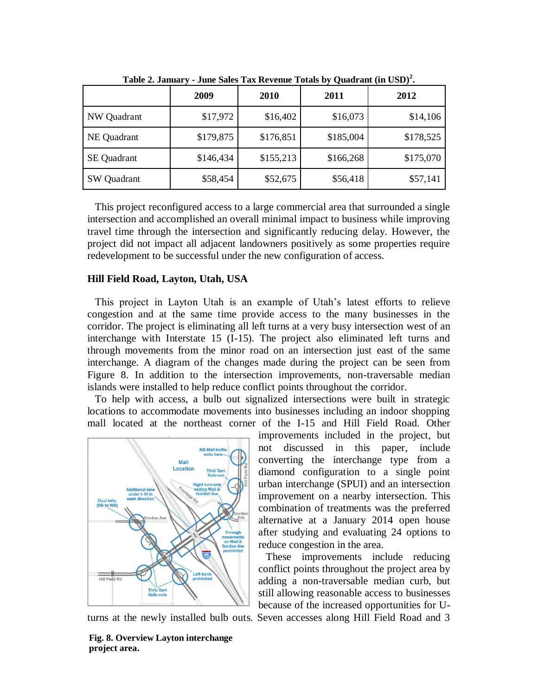| THOIC <b>Secondition</b><br>$\sigma$ and $\sigma$ and $\sigma$ and $\sigma$ and $\sigma$ and $\sigma$ and $\sigma$ and $\sigma$ and $\sigma$ |           |           |           |           |
|----------------------------------------------------------------------------------------------------------------------------------------------|-----------|-----------|-----------|-----------|
|                                                                                                                                              | 2009      | 2010      | 2011      | 2012      |
| NW Quadrant                                                                                                                                  | \$17,972  | \$16,402  | \$16,073  | \$14,106  |
| NE Quadrant                                                                                                                                  | \$179,875 | \$176,851 | \$185,004 | \$178,525 |
| <b>SE</b> Quadrant                                                                                                                           | \$146,434 | \$155,213 | \$166,268 | \$175,070 |
| <b>SW</b> Quadrant                                                                                                                           | \$58,454  | \$52,675  | \$56,418  | \$57,141  |

**Table 2. January - June Sales Tax Revenue Totals by Quadrant (in USD)<sup>2</sup> .**

 This project reconfigured access to a large commercial area that surrounded a single intersection and accomplished an overall minimal impact to business while improving travel time through the intersection and significantly reducing delay. However, the project did not impact all adjacent landowners positively as some properties require redevelopment to be successful under the new configuration of access.

#### **Hill Field Road, Layton, Utah, USA**

 This project in Layton Utah is an example of Utah's latest efforts to relieve congestion and at the same time provide access to the many businesses in the corridor. The project is eliminating all left turns at a very busy intersection west of an interchange with Interstate 15 (I-15). The project also eliminated left turns and through movements from the minor road on an intersection just east of the same interchange. A diagram of the changes made during the project can be seen from Figure 8. In addition to the intersection improvements, non-traversable median islands were installed to help reduce conflict points throughout the corridor.

 To help with access, a bulb out signalized intersections were built in strategic locations to accommodate movements into businesses including an indoor shopping mall located at the northeast corner of the I-15 and Hill Field Road. Other



improvements included in the project, but not discussed in this paper, include converting the interchange type from a diamond configuration to a single point urban interchange (SPUI) and an intersection improvement on a nearby intersection. This combination of treatments was the preferred alternative at a January 2014 open house after studying and evaluating 24 options to reduce congestion in the area.

 These improvements include reducing conflict points throughout the project area by adding a non-traversable median curb, but still allowing reasonable access to businesses because of the increased opportunities for U-

turns at the newly installed bulb outs. Seven accesses along Hill Field Road and 3

**Fig. 8. Overview Layton interchange project area.**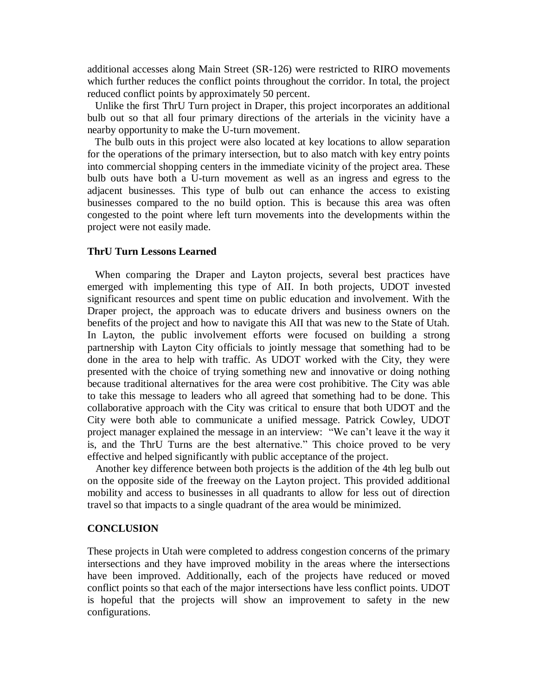additional accesses along Main Street (SR-126) were restricted to RIRO movements which further reduces the conflict points throughout the corridor. In total, the project reduced conflict points by approximately 50 percent.

 Unlike the first ThrU Turn project in Draper, this project incorporates an additional bulb out so that all four primary directions of the arterials in the vicinity have a nearby opportunity to make the U-turn movement.

 The bulb outs in this project were also located at key locations to allow separation for the operations of the primary intersection, but to also match with key entry points into commercial shopping centers in the immediate vicinity of the project area. These bulb outs have both a U-turn movement as well as an ingress and egress to the adjacent businesses. This type of bulb out can enhance the access to existing businesses compared to the no build option. This is because this area was often congested to the point where left turn movements into the developments within the project were not easily made.

## **ThrU Turn Lessons Learned**

 When comparing the Draper and Layton projects, several best practices have emerged with implementing this type of AII. In both projects, UDOT invested significant resources and spent time on public education and involvement. With the Draper project, the approach was to educate drivers and business owners on the benefits of the project and how to navigate this AII that was new to the State of Utah. In Layton, the public involvement efforts were focused on building a strong partnership with Layton City officials to jointly message that something had to be done in the area to help with traffic. As UDOT worked with the City, they were presented with the choice of trying something new and innovative or doing nothing because traditional alternatives for the area were cost prohibitive. The City was able to take this message to leaders who all agreed that something had to be done. This collaborative approach with the City was critical to ensure that both UDOT and the City were both able to communicate a unified message. Patrick Cowley, UDOT project manager explained the message in an interview: "We can't leave it the way it is, and the ThrU Turns are the best alternative." This choice proved to be very effective and helped significantly with public acceptance of the project.

 Another key difference between both projects is the addition of the 4th leg bulb out on the opposite side of the freeway on the Layton project. This provided additional mobility and access to businesses in all quadrants to allow for less out of direction travel so that impacts to a single quadrant of the area would be minimized.

#### **CONCLUSION**

These projects in Utah were completed to address congestion concerns of the primary intersections and they have improved mobility in the areas where the intersections have been improved. Additionally, each of the projects have reduced or moved conflict points so that each of the major intersections have less conflict points. UDOT is hopeful that the projects will show an improvement to safety in the new configurations.